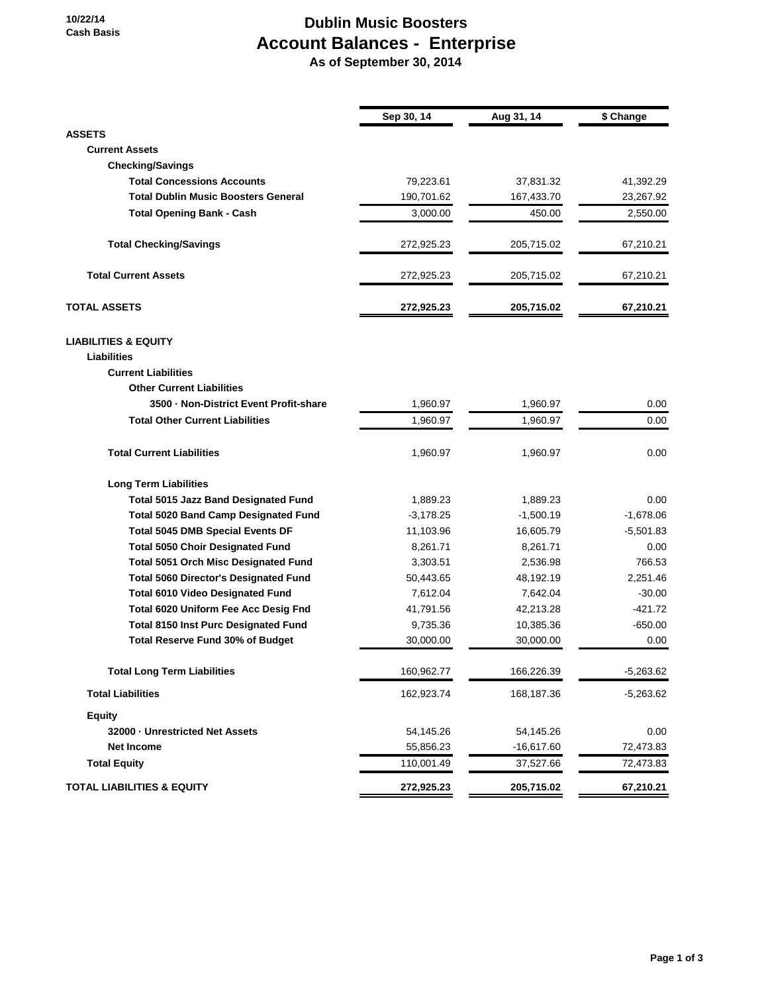**10/22/14 Cash Basis**

## **Dublin Music Boosters Account Balances - Enterprise As of September 30, 2014**

**Sep 30, 14 Aug 31, 14 \$ Change ASSETS Current Assets Checking/Savings Total Concessions Accounts** 79,223.61 37,831.32 41,392.29 **Total Dublin Music Boosters General 190,701.62** 167,433.70 23,267.92 **Total Opening Bank - Cash 3,000.00** 3,000.00 450.00 2,550.00 **Total Checking/Savings** 272,925.23 205,715.02 67,210.21 **Total Current Assets** 272,925.23 205,715.02 67,210.21 **TOTAL ASSETS 272,925.23 205,715.02 67,210.21 LIABILITIES & EQUITY Liabilities Current Liabilities Other Current Liabilities 3500 · Non-District Event Profit-share** 1,960.97 1,960.97 0.00 **Total Other Current Liabilities** 1,960.97 1,960.97 1,960.97 1,960.97 1,960.97 1,960.97 1,960.97 1,960.97 1,960.97 1,960.97 1,960.97 1,960.97 1,960.97 1,960.97 1,960.97 1,960.97 1,960.97 1,960.97 1,960.97 1,960.97 1,960.97 **Total Current Liabilities** 1,960.97 1,960.97 1,960.97 1,960.97 1,960.97 1,960.97 1,960.97 1,960.97 1,960.97 1,960.97 1,960.97 1,960.97 1,960.97 1,960.97 1,960.97 1,960.97 1,960.97 1,960.97 1,960.97 1,960.97 1,960.97 1,960 **Long Term Liabilities Total 5015 Jazz Band Designated Fund** 1,889.23 1,889.23 0.00 **Total 5020 Band Camp Designated Fund** -3,178.25 -1,500.19 -1,678.06 **Total 5045 DMB Special Events DF** 11,103.96 16,605.79 -5,501.83 **Total 5050 Choir Designated Fund** 8,261.71 8,261.71 8,261.71 0.00 **Total 5051 Orch Misc Designated Fund** 3,303.51 2,536.98 766.53 **Total 5060 Director's Designated Fund** 50,443.65 48,192.19 2,251.46 **Total 6010 Video Designated Fund** 7,612.04 7,642.04 -30.00 **Total 6020 Uniform Fee Acc Desig Fnd** 41,791.56 42,213.28 42,213.28 421.72 **Total 8150 Inst Purc Designated Fund** 9,735.36 10,385.36 -650.00 **Total Reserve Fund 30% of Budget**  $30,000.00$   $30,000.00$   $30,000.00$  0.00 **Total Long Term Liabilities** 160,962.77 166,226.39 -5,263.62 **Total Liabilities** 162,923.74 168,187.36 -5,263.62 **Equity 32000 · Unrestricted Net Assets** 54,145.26 54,145.26 0.00 **Net Income** 55,856.23 -16,617.60 72,473.83 **Total Equity** 110,001.49 37,527.66 72,473.83 **TOTAL LIABILITIES & EQUITY 272,925.23 205,715.02 67,210.21**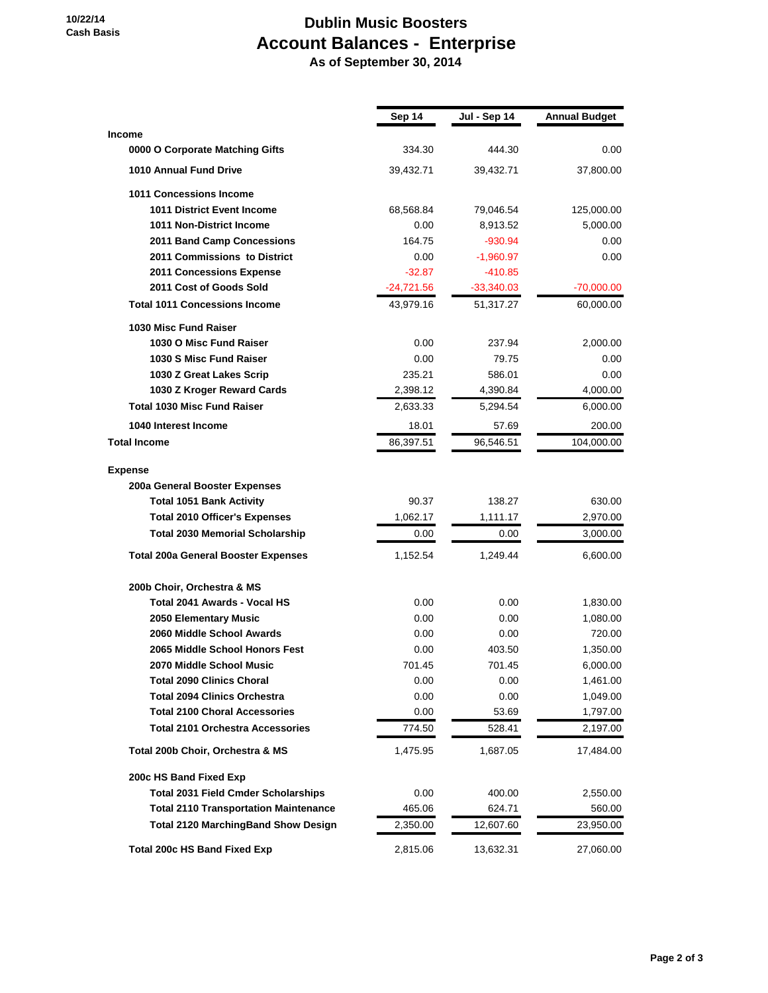## **10/22/14 Cash Basis**

## **Dublin Music Boosters Account Balances - Enterprise**

 **As of September 30, 2014**

|                                              | Sep 14       | Jul - Sep 14 | <b>Annual Budget</b> |
|----------------------------------------------|--------------|--------------|----------------------|
| <b>Income</b>                                |              |              |                      |
| 0000 O Corporate Matching Gifts              | 334.30       | 444.30       | $0.00\,$             |
| 1010 Annual Fund Drive                       | 39,432.71    | 39,432.71    | 37,800.00            |
| <b>1011 Concessions Income</b>               |              |              |                      |
| <b>1011 District Event Income</b>            | 68,568.84    | 79,046.54    | 125,000.00           |
| 1011 Non-District Income                     | 0.00         | 8,913.52     | 5,000.00             |
| 2011 Band Camp Concessions                   | 164.75       | $-930.94$    | $0.00\,$             |
| 2011 Commissions to District                 | 0.00         | $-1,960.97$  | 0.00                 |
| 2011 Concessions Expense                     | $-32.87$     | $-410.85$    |                      |
| 2011 Cost of Goods Sold                      | $-24,721.56$ | $-33,340.03$ | $-70,000.00$         |
| <b>Total 1011 Concessions Income</b>         | 43,979.16    | 51,317.27    | 60,000.00            |
| 1030 Misc Fund Raiser                        |              |              |                      |
| 1030 O Misc Fund Raiser                      | 0.00         | 237.94       | 2,000.00             |
| 1030 S Misc Fund Raiser                      | 0.00         | 79.75        | $0.00\,$             |
| 1030 Z Great Lakes Scrip                     | 235.21       | 586.01       | $0.00\,$             |
| 1030 Z Kroger Reward Cards                   | 2,398.12     | 4,390.84     | 4,000.00             |
| <b>Total 1030 Misc Fund Raiser</b>           | 2,633.33     | 5,294.54     | 6,000.00             |
| 1040 Interest Income                         | 18.01        | 57.69        | 200.00               |
| <b>Total Income</b>                          | 86,397.51    | 96,546.51    | 104,000.00           |
| <b>Expense</b>                               |              |              |                      |
| 200a General Booster Expenses                |              |              |                      |
| <b>Total 1051 Bank Activity</b>              | 90.37        | 138.27       | 630.00               |
| <b>Total 2010 Officer's Expenses</b>         | 1,062.17     | 1,111.17     | 2,970.00             |
| <b>Total 2030 Memorial Scholarship</b>       | 0.00         | 0.00         | 3,000.00             |
| <b>Total 200a General Booster Expenses</b>   | 1,152.54     | 1,249.44     | 6,600.00             |
|                                              |              |              |                      |
| 200b Choir, Orchestra & MS                   |              |              |                      |
| Total 2041 Awards - Vocal HS                 | 0.00         | 0.00         | 1,830.00             |
| 2050 Elementary Music                        | 0.00         | 0.00         | 1,080.00             |
| 2060 Middle School Awards                    | 0.00         | 0.00         | 720.00               |
| 2065 Middle School Honors Fest               | 0.00         | 403.50       | 1,350.00             |
| 2070 Middle School Music                     | 701.45       | 701.45       | 6,000.00             |
| <b>Total 2090 Clinics Choral</b>             | 0.00         | 0.00         | 1,461.00             |
| <b>Total 2094 Clinics Orchestra</b>          | 0.00         | 0.00         | 1,049.00             |
| <b>Total 2100 Choral Accessories</b>         | 0.00         | 53.69        | 1,797.00             |
| <b>Total 2101 Orchestra Accessories</b>      | 774.50       | 528.41       | 2,197.00             |
| Total 200b Choir, Orchestra & MS             | 1,475.95     | 1,687.05     | 17,484.00            |
| 200c HS Band Fixed Exp                       |              |              |                      |
| <b>Total 2031 Field Cmder Scholarships</b>   | 0.00         | 400.00       | 2,550.00             |
| <b>Total 2110 Transportation Maintenance</b> | 465.06       | 624.71       | 560.00               |
| <b>Total 2120 MarchingBand Show Design</b>   | 2,350.00     | 12,607.60    | 23,950.00            |
| <b>Total 200c HS Band Fixed Exp</b>          | 2,815.06     | 13,632.31    | 27,060.00            |